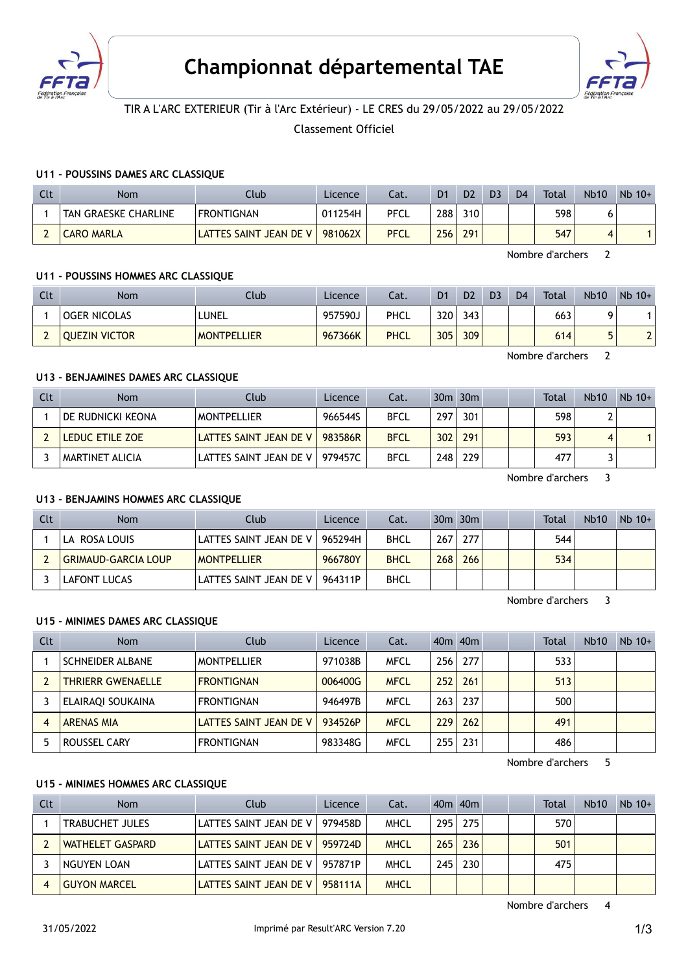



# TIR A L'ARC EXTERIEUR (Tir à l'Arc Extérieur) - LE CRES du 29/05/2022 au 29/05/2022

Classement Officiel

#### U11 - POUSSINS DAMES ARC CLASSIQUE

| Clt      | <b>Nom</b>           | Club                   | Licence | Cat.        | D <sub>1</sub> | D <sub>2</sub> | D <sub>3</sub> | D <sub>4</sub> | <b>Total</b> | <b>Nb10</b> | $Nb$ 10+ |
|----------|----------------------|------------------------|---------|-------------|----------------|----------------|----------------|----------------|--------------|-------------|----------|
|          | TAN GRAESKE CHARLINE | <b>FRONTIGNAN</b>      | 011254H | PFCL        | 288            | 310            |                |                | 598          |             |          |
| <b>.</b> | <b>CARO MARLA</b>    | LATTES SAINT JEAN DE V | 981062X | <b>PFCL</b> | 256            | 291            |                |                | 547          | Δ           |          |

Nombre d'archers 2

#### U11 - POUSSINS HOMMES ARC CLASSIQUE

| Clt | Nom                  | Club               | Licence | Cat.        | D <sub>1</sub> | D <sub>2</sub> | D <sub>3</sub> | D <sub>4</sub> | Total | <b>Nb10</b> | $Nb$ 10+ |
|-----|----------------------|--------------------|---------|-------------|----------------|----------------|----------------|----------------|-------|-------------|----------|
|     | <b>OGER NICOLAS</b>  | LUNEL              | 957590J | PHCL        | 320            | 343            |                |                | 663   |             |          |
|     | <b>QUEZIN VICTOR</b> | <b>MONTPELLIER</b> | 967366K | <b>PHCL</b> | 305            | 309            |                |                | 614   | г           | $\sim$   |

Nombre d'archers 2

### U13 - BENJAMINES DAMES ARC CLASSIQUE

| Clt | <b>Nom</b>        | Club                             | Licence | Cat.        |     | $30m$ $30m$ |  | <b>Total</b> | <b>Nb10</b> | $Nb$ 10+ |
|-----|-------------------|----------------------------------|---------|-------------|-----|-------------|--|--------------|-------------|----------|
|     | DE RUDNICKI KEONA | <b>MONTPELLIER</b>               | 966544S | <b>BFCL</b> | 297 | 301         |  | 598          |             |          |
|     | LEDUC ETILE ZOE   | LATTES SAINT JEAN DE V L         | 983586R | <b>BFCL</b> | 302 | 291         |  | 593          |             |          |
|     | ' MARTINET ALICIA | LATTES SAINT JEAN DE V   979457C |         | <b>BFCL</b> | 248 | 229         |  | 477          |             |          |

Nombre d'archers 3

#### U13 - BENJAMINS HOMMES ARC CLASSIQUE

| Clt | Nom                        | Club                   | Licence | Cat.        |     | $30m$ $30m$ |  | <b>Total</b> | <b>Nb10</b> | $Nb$ 10+ |
|-----|----------------------------|------------------------|---------|-------------|-----|-------------|--|--------------|-------------|----------|
|     | LA ROSA LOUIS              | LATTES SAINT JEAN DE V | 965294H | <b>BHCL</b> | 267 | 277         |  | 544          |             |          |
|     | <b>GRIMAUD-GARCIA LOUP</b> | <b>MONTPELLIER</b>     | 966780Y | <b>BHCL</b> | 268 | 266         |  | 534          |             |          |
|     | LAFONT LUCAS               | LATTES SAINT JEAN DE V | 964311P | <b>BHCL</b> |     |             |  |              |             |          |

Nombre d'archers 3

#### U15 - MINIMES DAMES ARC CLASSIQUE

| Clt | <b>Nom</b>               | Club                   | <b>Licence</b> | Cat.        |     | $40m$ $40m$ |  | <b>Total</b> | <b>Nb10</b> | $Nb$ 10+ |
|-----|--------------------------|------------------------|----------------|-------------|-----|-------------|--|--------------|-------------|----------|
|     | <b>SCHNEIDER ALBANE</b>  | <b>MONTPELLIER</b>     | 971038B        | <b>MFCL</b> | 256 | 277         |  | 533          |             |          |
|     | <b>THRIERR GWENAELLE</b> | <b>FRONTIGNAN</b>      | 006400G        | <b>MFCL</b> | 252 | 261         |  | 513          |             |          |
|     | ELAIRAQI SOUKAINA        | <b>FRONTIGNAN</b>      | 946497B        | <b>MFCL</b> | 263 | 237         |  | 500          |             |          |
|     | <b>ARENAS MIA</b>        | LATTES SAINT JEAN DE V | 934526P        | <b>MFCL</b> | 229 | 262         |  | 491          |             |          |
|     | ROUSSEL CARY             | <b>FRONTIGNAN</b>      | 983348G        | <b>MFCL</b> | 255 | 231         |  | 486          |             |          |

Nombre d'archers 5

### U15 - MINIMES HOMMES ARC CLASSIQUE

| Clt | <b>Nom</b>             | Club                   | Licence | Cat.        |     | 40 <sub>m</sub> 40 <sub>m</sub> |  | <b>Total</b> | <b>Nb10</b> | $Nb$ 10+ |
|-----|------------------------|------------------------|---------|-------------|-----|---------------------------------|--|--------------|-------------|----------|
|     | <b>TRABUCHET JULES</b> | LATTES SAINT JEAN DE V | 979458D | MHCL        | 295 | 275                             |  | 570          |             |          |
|     | WATHELET GASPARD       | LATTES SAINT JEAN DE V | 959724D | <b>MHCL</b> | 265 | 236                             |  | 501          |             |          |
|     | NGUYEN LOAN            | LATTES SAINT JEAN DE V | 957871P | MHCL        | 245 | 230                             |  | 475          |             |          |
|     | <b>GUYON MARCEL</b>    | LATTES SAINT JEAN DE V | 958111A | <b>MHCL</b> |     |                                 |  |              |             |          |

Nombre d'archers 4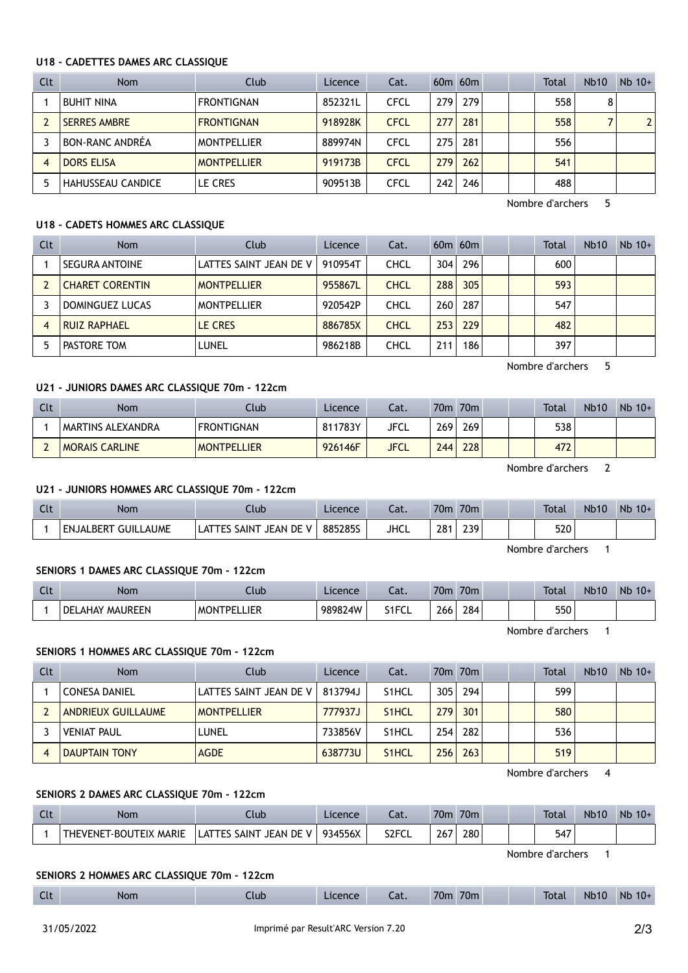#### U18 - CADETTES DAMES ARC CLASSIQUE

| Clt | <b>Nom</b>               | Club               | Licence | Cat.        |     | $60m$ $60m$ |  | Total | <b>Nb10</b> | $Nb$ 10+       |
|-----|--------------------------|--------------------|---------|-------------|-----|-------------|--|-------|-------------|----------------|
|     | <b>BUHIT NINA</b>        | <b>FRONTIGNAN</b>  | 852321L | <b>CFCL</b> | 279 | 279         |  | 558   | 8           |                |
|     | <b>SERRES AMBRE</b>      | <b>FRONTIGNAN</b>  | 918928K | <b>CFCL</b> | 277 | 281         |  | 558   |             | $\overline{2}$ |
|     | BON-RANC ANDRÉA          | <b>MONTPELLIER</b> | 889974N | <b>CFCL</b> | 275 | 281         |  | 556   |             |                |
|     | <b>DORS ELISA</b>        | <b>MONTPELLIER</b> | 919173B | <b>CFCL</b> | 279 | 262         |  | 541   |             |                |
|     | <b>HAHUSSEAU CANDICE</b> | LE CRES            | 909513B | <b>CFCL</b> | 242 | 246         |  | 488   |             |                |

#### U18 - CADETS HOMMES ARC CLASSIQUE

| Clt | Nom                    | Club                   | Licence | Cat.        |     | $60m$ $60m$      |  | Total | <b>Nb10</b> | $Nb$ 10+ |
|-----|------------------------|------------------------|---------|-------------|-----|------------------|--|-------|-------------|----------|
|     | <b>SEGURA ANTOINE</b>  | LATTES SAINT JEAN DE V | 910954T | <b>CHCL</b> | 304 | 296              |  | 600   |             |          |
|     | <b>CHARET CORENTIN</b> | <b>MONTPELLIER</b>     | 955867L | <b>CHCL</b> | 288 | 305              |  | 593   |             |          |
|     | DOMINGUEZ LUCAS        | <b>MONTPELLIER</b>     | 920542P | <b>CHCL</b> | 260 | 287              |  | 547   |             |          |
| 4   | <b>RUIZ RAPHAEL</b>    | LE CRES                | 886785X | <b>CHCL</b> | 253 | 229              |  | 482   |             |          |
|     | PASTORE TOM            | LUNEL                  | 986218B | CHCL        | 211 | 186 <sub>1</sub> |  | 397   |             |          |

#### U21 - JUNIORS DAMES ARC CLASSIQUE 70m - 122cm

| Clt | <b>Nom</b>            | Club               | Licence | Cat.        | 70m              | 70 <sub>m</sub> |  | <b>Total</b> | <b>Nb10</b> | $Nb 10+$ |
|-----|-----------------------|--------------------|---------|-------------|------------------|-----------------|--|--------------|-------------|----------|
|     | MARTINS ALEXANDRA     | <b>FRONTIGNAN</b>  | 811783Y | JFCL        | 269              | 269             |  | 538          |             |          |
|     | <b>MORAIS CARLINE</b> | <b>MONTPELLIER</b> | 926146F | <b>JFCL</b> | 244 <sub>1</sub> | 228             |  | 472          |             |          |

Nombre d'archers 2

Nombre d'archers 5

#### U21 - JUNIORS HOMMES ARC CLASSIQUE 70m - 122cm

| Clt | Nom                 | Ilub                                                    | Licence | ۰- ۱<br>-aι. | 70 <sub>m</sub> | 70m | <b>Total</b> | <b>Nb10</b> | Nb<br>$10+$ |
|-----|---------------------|---------------------------------------------------------|---------|--------------|-----------------|-----|--------------|-------------|-------------|
|     | ENJALBERT GUILLAUME | JEAN DE<br>$\mathsf{\Delta TT}'$<br>'V.<br>SAINT<br>ГES | 885285S | JHCL         | 28 <sup>2</sup> | 239 | 520          |             |             |

Nombre d'archers 1

#### SENIORS 1 DAMES ARC CLASSIQUE 70m - 122cm

| $\sim$<br>પા | Nom                      | .tub                                  | Licence | $-1$<br>cal.                  | 70m                                               | 70 <sub>m</sub> |  | <b>Total</b> | <b>Nb10</b> | Nb<br>$10+$ |
|--------------|--------------------------|---------------------------------------|---------|-------------------------------|---------------------------------------------------|-----------------|--|--------------|-------------|-------------|
|              | DEI<br>MAUREEN<br>LAHAY. | <b>IFR</b><br><b>MON</b><br>ס־<br>--- | 989824W | $\leq 1$ FC.<br><b>JII JL</b> | 266<br><b>Contract Contract Contract Contract</b> | 284             |  | 550          |             |             |

Nombre d'archers 1

#### SENIORS 1 HOMMES ARC CLASSIQUE 70m - 122cm

| Clt | <b>Nom</b>           | Club                   | Licence | Cat.               |     | 70 <sub>m</sub> 70 <sub>m</sub> |  | Total | <b>Nb10</b> | $Nb$ 10+ |
|-----|----------------------|------------------------|---------|--------------------|-----|---------------------------------|--|-------|-------------|----------|
|     | <b>CONESA DANIEL</b> | LATTES SAINT JEAN DE V | 813794J | S <sub>1</sub> HCL | 305 | 294                             |  | 599   |             |          |
|     | ANDRIEUX GUILLAUME   | <b>MONTPELLIER</b>     | 777937J | S <sub>1</sub> HCL | 279 | 301                             |  | 580   |             |          |
|     | <b>VENIAT PAUL</b>   | LUNEL                  | 733856V | S <sub>1</sub> HCL | 254 | 282                             |  | 536   |             |          |
|     | <b>DAUPTAIN TONY</b> | <b>AGDE</b>            | 638773U | S <sub>1</sub> HCL | 256 | 263                             |  | 519   |             |          |

Nombre d'archers 4

#### SENIORS 2 DAMES ARC CLASSIQUE 70m - 122cm

| <b>ULL</b> | Nom                                                             | Llub.                                                         | Licence | cal.               | 70m | 70m |  | <b>Total</b> | <b>Nb10</b> | <b>Nb</b><br>$10+$ |
|------------|-----------------------------------------------------------------|---------------------------------------------------------------|---------|--------------------|-----|-----|--|--------------|-------------|--------------------|
|            | <b>MARIE</b><br>rfix<br>$\mathsf{I}\mathsf{THEVERSE}$<br>∴R∩LI™ | <b>SAINT</b><br><b>JEAN DE</b><br>$\mathbf{v}$<br>1 F S<br>اھ | 934556X | S <sub>2</sub> FCL | 267 | 280 |  | 547          |             |                    |

Nombre d'archers 1

#### SENIORS 2 HOMMES ARC CLASSIQUE 70m - 122cm

|  | $\sim$<br>しいし | Nom | Llub <sup>-</sup> | Licence | - 1<br>.aı. | 70n | 70m |  | <b>Total</b> | <b>Nb10</b> | <b>Nb</b><br>$10+$ |
|--|---------------|-----|-------------------|---------|-------------|-----|-----|--|--------------|-------------|--------------------|
|--|---------------|-----|-------------------|---------|-------------|-----|-----|--|--------------|-------------|--------------------|

## Nombre d'archers 5